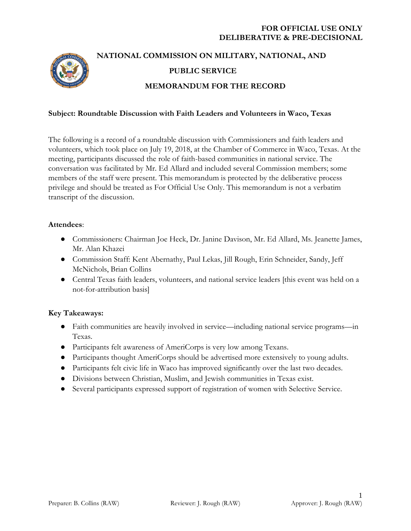

# **NATIONAL COMMISSION ON MILITARY, NATIONAL, AND PUBLIC SERVICE MEMORANDUM FOR THE RECORD**

#### **Subject: Roundtable Discussion with Faith Leaders and Volunteers in Waco, Texas**

The following is a record of a roundtable discussion with Commissioners and faith leaders and volunteers, which took place on July 19, 2018, at the Chamber of Commerce in Waco, Texas. At the meeting, participants discussed the role of faith-based communities in national service. The conversation was facilitated by Mr. Ed Allard and included several Commission members; some members of the staff were present. This memorandum is protected by the deliberative process privilege and should be treated as For Official Use Only. This memorandum is not a verbatim transcript of the discussion.

#### **Attendees**:

- Commissioners: Chairman Joe Heck, Dr. Janine Davison, Mr. Ed Allard, Ms. Jeanette James, Mr. Alan Khazei
- Commission Staff: Kent Abernathy, Paul Lekas, Jill Rough, Erin Schneider, Sandy, Jeff McNichols, Brian Collins
- Central Texas faith leaders, volunteers, and national service leaders [this event was held on a not-for-attribution basis]

# **Key Takeaways:**

- Faith communities are heavily involved in service—including national service programs—in Texas.
- Participants felt awareness of AmeriCorps is very low among Texans.
- Participants thought AmeriCorps should be advertised more extensively to young adults.
- Participants felt civic life in Waco has improved significantly over the last two decades.
- Divisions between Christian, Muslim, and Jewish communities in Texas exist.
- Several participants expressed support of registration of women with Selective Service.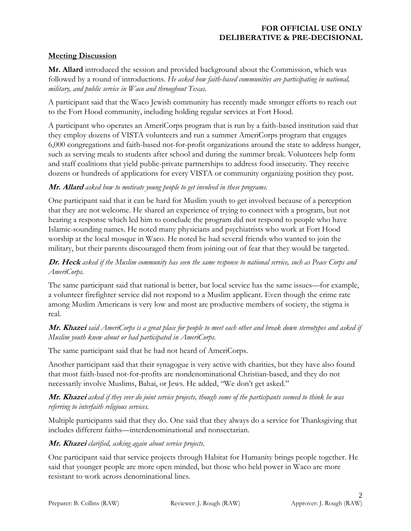## **Meeting Discussion**

**Mr. Allard** introduced the session and provided background about the Commission, which was followed by a round of introductions. *He asked how faith-based communities are participating in national, military, and public service in Waco and throughout Texas.*

A participant said that the Waco Jewish community has recently made stronger efforts to reach out to the Fort Hood community, including holding regular services at Fort Hood.

A participant who operates an AmeriCorps program that is run by a faith-based institution said that they employ dozens of VISTA volunteers and run a summer AmeriCorps program that engages 6,000 congregations and faith-based not-for-profit organizations around the state to address hunger, such as serving meals to students after school and during the summer break. Volunteers help form and staff coalitions that yield public-private partnerships to address food insecurity. They receive dozens or hundreds of applications for every VISTA or community organizing position they post.

## **Mr. Allard** *asked how to motivate young people to get involved in these programs.*

One participant said that it can be hard for Muslim youth to get involved because of a perception that they are not welcome. He shared an experience of trying to connect with a program, but not hearing a response which led him to conclude the program did not respond to people who have Islamic-sounding names. He noted many physicians and psychiatrists who work at Fort Hood worship at the local mosque in Waco. He noted he had several friends who wanted to join the military, but their parents discouraged them from joining out of fear that they would be targeted.

## **Dr. Heck** *asked if the Muslim community has seen the same response to national service, such as Peace Corps and AmeriCorps.*

The same participant said that national is better, but local service has the same issues—for example, a volunteer firefighter service did not respond to a Muslim applicant. Even though the crime rate among Muslim Americans is very low and most are productive members of society, the stigma is real.

# **Mr. Khazei** *said AmeriCorps is a great place for people to meet each other and break down stereotypes and asked if Muslim youth knew about or had participated in AmeriCorps.*

The same participant said that he had not heard of AmeriCorps.

Another participant said that their synagogue is very active with charities, but they have also found that most faith-based not-for-profits are nondenominational Christian-based, and they do not necessarily involve Muslims, Bahai, or Jews. He added, "We don't get asked."

## **Mr. Khazei** *asked if they ever do joint service projects, though some of the participants seemed to think he was referring to interfaith religious services.*

Multiple participants said that they do. One said that they always do a service for Thanksgiving that includes different faiths—interdenominational and nonsectarian.

# **Mr. Khazei** *clarified, asking again about service projects.*

One participant said that service projects through Habitat for Humanity brings people together. He said that younger people are more open minded, but those who held power in Waco are more resistant to work across denominational lines.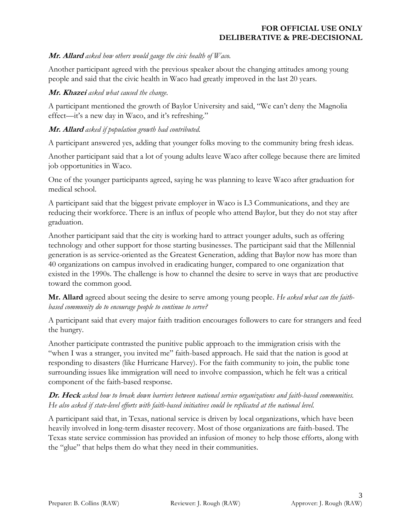## **Mr. Allard** *asked how others would gauge the civic health of Waco.*

Another participant agreed with the previous speaker about the changing attitudes among young people and said that the civic health in Waco had greatly improved in the last 20 years.

#### **Mr. Khazei** *asked what caused the change.*

A participant mentioned the growth of Baylor University and said, "We can't deny the Magnolia effect—it's a new day in Waco, and it's refreshing."

## **Mr. Allard** *asked if population growth had contributed.*

A participant answered yes, adding that younger folks moving to the community bring fresh ideas.

Another participant said that a lot of young adults leave Waco after college because there are limited job opportunities in Waco.

One of the younger participants agreed, saying he was planning to leave Waco after graduation for medical school.

A participant said that the biggest private employer in Waco is L3 Communications, and they are reducing their workforce. There is an influx of people who attend Baylor, but they do not stay after graduation.

Another participant said that the city is working hard to attract younger adults, such as offering technology and other support for those starting businesses. The participant said that the Millennial generation is as service-oriented as the Greatest Generation, adding that Baylor now has more than 40 organizations on campus involved in eradicating hunger, compared to one organization that existed in the 1990s. The challenge is how to channel the desire to serve in ways that are productive toward the common good.

**Mr. Allard** agreed about seeing the desire to serve among young people. *He asked what can the faithbased community do to encourage people to continue to serve?*

A participant said that every major faith tradition encourages followers to care for strangers and feed the hungry.

Another participate contrasted the punitive public approach to the immigration crisis with the "when I was a stranger, you invited me" faith-based approach. He said that the nation is good at responding to disasters (like Hurricane Harvey). For the faith community to join, the public tone surrounding issues like immigration will need to involve compassion, which he felt was a critical component of the faith-based response.

## **Dr. Heck** *asked how to break down barriers between national service organizations and faith-based communities. He also asked if state-level efforts with faith-based initiatives could be replicated at the national level.*

A participant said that, in Texas, national service is driven by local organizations, which have been heavily involved in long-term disaster recovery. Most of those organizations are faith-based. The Texas state service commission has provided an infusion of money to help those efforts, along with the "glue" that helps them do what they need in their communities.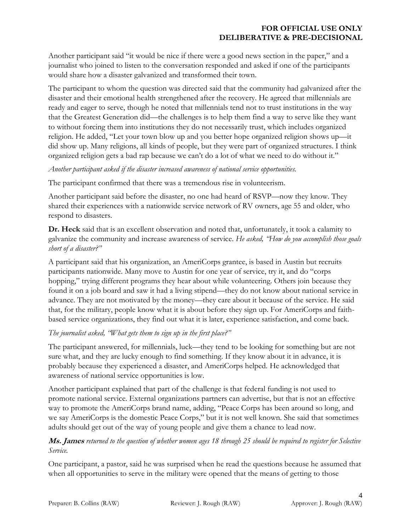Another participant said "it would be nice if there were a good news section in the paper," and a journalist who joined to listen to the conversation responded and asked if one of the participants would share how a disaster galvanized and transformed their town.

The participant to whom the question was directed said that the community had galvanized after the disaster and their emotional health strengthened after the recovery. He agreed that millennials are ready and eager to serve, though he noted that millennials tend not to trust institutions in the way that the Greatest Generation did—the challenges is to help them find a way to serve like they want to without forcing them into institutions they do not necessarily trust, which includes organized religion. He added, "Let your town blow up and you better hope organized religion shows up—it did show up. Many religions, all kinds of people, but they were part of organized structures. I think organized religion gets a bad rap because we can't do a lot of what we need to do without it."

#### *Another participant asked if the disaster increased awareness of national service opportunities.*

The participant confirmed that there was a tremendous rise in volunteerism.

Another participant said before the disaster, no one had heard of RSVP—now they know. They shared their experiences with a nationwide service network of RV owners, age 55 and older, who respond to disasters.

**Dr. Heck** said that is an excellent observation and noted that, unfortunately, it took a calamity to galvanize the community and increase awareness of service. *He asked, "How do you accomplish those goals short of a disaster?"*

A participant said that his organization, an AmeriCorps grantee, is based in Austin but recruits participants nationwide. Many move to Austin for one year of service, try it, and do "corps hopping," trying different programs they hear about while volunteering. Others join because they found it on a job board and saw it had a living stipend—they do not know about national service in advance. They are not motivated by the money—they care about it because of the service. He said that, for the military, people know what it is about before they sign up. For AmeriCorps and faithbased service organizations, they find out what it is later, experience satisfaction, and come back.

# *The journalist asked, "What gets them to sign up in the first place?"*

The participant answered, for millennials, luck—they tend to be looking for something but are not sure what, and they are lucky enough to find something. If they know about it in advance, it is probably because they experienced a disaster, and AmeriCorps helped. He acknowledged that awareness of national service opportunities is low.

Another participant explained that part of the challenge is that federal funding is not used to promote national service. External organizations partners can advertise, but that is not an effective way to promote the AmeriCorps brand name, adding, "Peace Corps has been around so long, and we say AmeriCorps is the domestic Peace Corps," but it is not well known. She said that sometimes adults should get out of the way of young people and give them a chance to lead now.

# **Ms. James** *returned to the question of whether women ages 18 through 25 should be required to register for Selective Service.*

One participant, a pastor, said he was surprised when he read the questions because he assumed that when all opportunities to serve in the military were opened that the means of getting to those